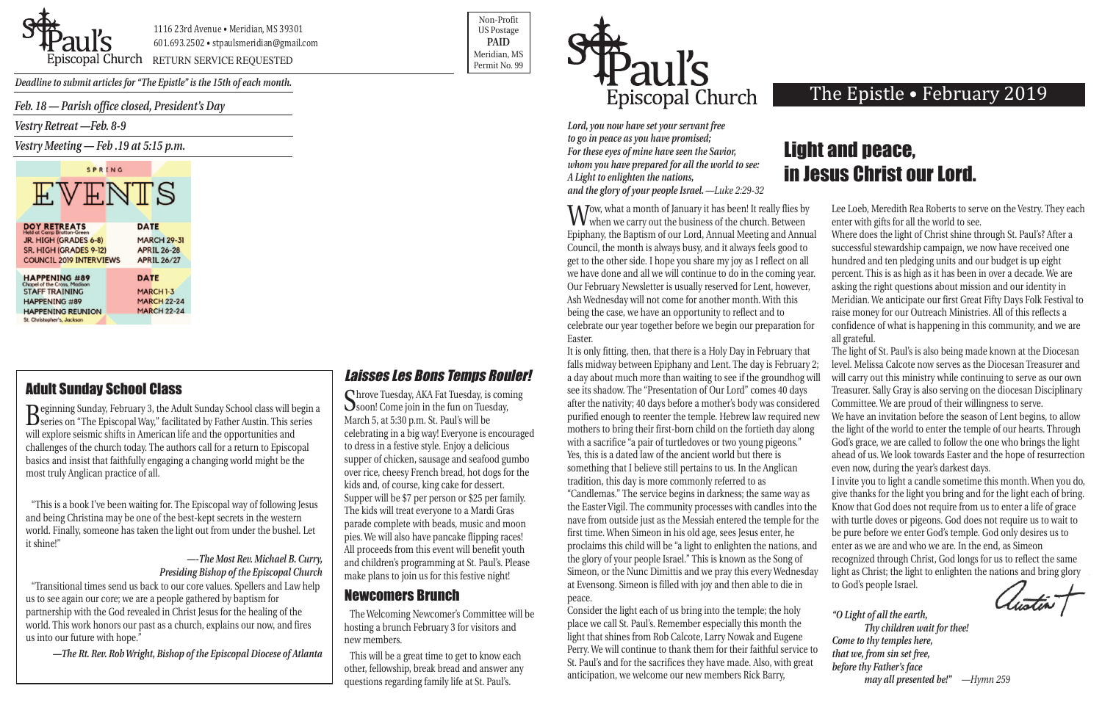*Feb. 18 — Parish office closed, President's Day*

*Vestry Retreat —Feb. 8-9*

*Vestry Meeting — Feb .19 at 5:15 p.m.*

| SPRING                                                      |                                          |
|-------------------------------------------------------------|------------------------------------------|
| VENTS                                                       |                                          |
|                                                             |                                          |
| <b>DOY RETREATS</b><br>Held at Camp Bratton-Green           | <b>DATE</b>                              |
| JR. HIGH (GRADES 6-8)                                       | <b>MARCH 29-31</b>                       |
| SR. HIGH (GRADES 9-12)<br><b>COUNCIL 2019 INTERVIEWS</b>    | <b>APRIL 26-28</b><br><b>APRIL 26/27</b> |
|                                                             |                                          |
| <b>HAPPENING #89</b><br><b>Chapel of the Cross, Madison</b> | <b>DATE</b>                              |
| <b>STAFF TRAINING</b>                                       | <b>MARCH 1-3</b>                         |
| <b>HAPPENING #89</b>                                        | <b>MARCH 22-24</b>                       |
| <b>HAPPENING REUNION</b>                                    | <b>MARCH 22-24</b>                       |
| St. Christopher's, Jackson                                  |                                          |



piscopal Church RETURN SERVICE REQUESTED

Non-Profit US Postage **PAID** Meridian, MS



*Deadline to submit articles for "The Epistle" is the 15th of each month.* 

Wow, what a month of January it has been! It really flies by<br>when we carry out the business of the church. Between Epiphany, the Baptism of our Lord, Annual Meeting and Annual Council, the month is always busy, and it always feels good to get to the other side. I hope you share my joy as I reflect on all we have done and all we will continue to do in the coming year. Our February Newsletter is usually reserved for Lent, however, Ash Wednesday will not come for another month. With this being the case, we have an opportunity to reflect and to celebrate our year together before we begin our preparation for Easter. It is only fitting, then, that there is a Holy Day in February that falls midway between Epiphany and Lent. The day is February 2; a day about much more than waiting to see if the groundhog will see its shadow. The "Presentation of Our Lord" comes 40 days after the nativity; 40 days before a mother's body was considered purified enough to reenter the temple. Hebrew law required new mothers to bring their first-born child on the fortieth day along with a sacrifice "a pair of turtledoves or two young pigeons." Yes, this is a dated law of the ancient world but there is something that I believe still pertains to us. In the Anglican tradition, this day is more commonly referred to as "Candlemas." The service begins in darkness; the same way as the Easter Vigil. The community processes with candles into the nave from outside just as the Messiah entered the temple for the first time. When Simeon in his old age, sees Jesus enter, he proclaims this child will be "a light to enlighten the nations, and the glory of your people Israel." This is known as the Song of Simeon, or the Nunc Dimittis and we pray this every Wednesday at Evensong. Simeon is filled with joy and then able to die in peace. Lee Loeb, Meredith Rea Roberts to serve on the Vestry. They each enter with gifts for all the world to see. Where does the light of Christ shine through St. Paul's? After a successful stewardship campaign, we now have received one hundred and ten pledging units and our budget is up eight percent. This is as high as it has been in over a decade. We are asking the right questions about mission and our identity in Meridian. We anticipate our first Great Fifty Days Folk Festival to raise money for our Outreach Ministries. All of this reflects a confidence of what is happening in this community, and we are all grateful. The light of St. Paul's is also being made known at the Diocesan level. Melissa Calcote now serves as the Diocesan Treasurer and will carry out this ministry while continuing to serve as our own Treasurer. Sally Gray is also serving on the diocesan Disciplinary Committee. We are proud of their willingness to serve. We have an invitation before the season of Lent begins, to allow the light of the world to enter the temple of our hearts. Through God's grace, we are called to follow the one who brings the light ahead of us. We look towards Easter and the hope of resurrection even now, during the year's darkest days. I invite you to light a candle sometime this month. When you do, give thanks for the light you bring and for the light each of bring. Know that God does not require from us to enter a life of grace with turtle doves or pigeons. God does not require us to wait to be pure before we enter God's temple. God only desires us to enter as we are and who we are. In the end, as Simeon recognized through Christ, God longs for us to reflect the same light as Christ; the light to enlighten the nations and bring glory to God's people Israel. *"O Light of all the earth, Thy children wait for thee! Come to thy temples here,* 

Consider the light each of us bring into the temple; the holy place we call St. Paul's. Remember especially this month the light that shines from Rob Calcote, Larry Nowak and Eugene Perry. We will continue to thank them for their faithful service to St. Paul's and for the sacrifices they have made. Also, with great anticipation, we welcome our new members Rick Barry,

Shrove Tuesday, AKA Fat Tuesday, is coming<br>Soon! Come join in the fun on Tuesday, March 5, at 5:30 p.m. St. Paul's will be celebrating in a big way! Everyone is encouraged to dress in a festive style. Enjoy a delicious supper of chicken, sausage and seafood gumbo over rice, cheesy French bread, hot dogs for the kids and, of course, king cake for dessert. Supper will be \$7 per person or \$25 per family. The kids will treat everyone to a Mardi Gras parade complete with beads, music and moon pies. We will also have pancake flipping races! All proceeds from this event will benefit youth and children's programming at St. Paul's. Please make plans to join us for this festive night!

*Lord, you now have set your servant free to go in peace as you have promised; For these eyes of mine have seen the Savior, whom you have prepared for all the world to see: A Light to enlighten the nations, and the glory of your people Israel. —Luke 2:29-32*

*that we, from sin set free, before thy Father's face may all presented be!" —Hymn 259*

# Light and peace, in Jesus Christ our Lord.

## Laisses Les Bons Temps Rouler!

## Newcomers Brunch

The Welcoming Newcomer's Committee will be hosting a brunch February 3 for visitors and new members.

This will be a great time to get to know each other, fellowship, break bread and answer any questions regarding family life at St. Paul's.

# The Epistle • February 2019

## Adult Sunday School Class

Beginning Sunday, February 3, the Adult Sunday School class will begin a series on "The Episcopal Way," facilitated by Father Austin. This series will explore seismic shifts in American life and the opportunities and challenges of the church today. The authors call for a return to Episcopal basics and insist that faithfully engaging a changing world might be the most truly Anglican practice of all.

"This is a book I've been waiting for. The Episcopal way of following Jesus and being Christina may be one of the best-kept secrets in the western world. Finally, someone has taken the light out from under the bushel. Let it shine!"

#### *—-The Most Rev. Michael B. Curry, Presiding Bishop of the Episcopal Church*

"Transitional times send us back to our core values. Spellers and Law help us to see again our core; we are a people gathered by baptism for partnership with the God revealed in Christ Jesus for the healing of the world. This work honors our past as a church, explains our now, and fires us into our future with hope."

*—The Rt. Rev. Rob Wright, Bishop of the Episcopal Diocese of Atlanta*